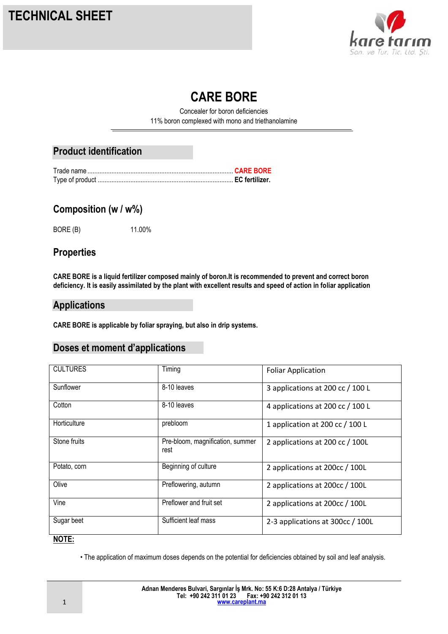

# **CARE BORE**

Concealer for boron deficiencies 11% boron complexed with mono and triethanolamine

# **Product identification**

## **Composition (w / w%)**

BORE (B) 11.00%

## **Properties**

**CARE BORE is a liquid fertilizer composed mainly of boron.It is recommended to prevent and correct boron deficiency. It is easily assimilated by the plant with excellent results and speed of action in foliar application**

#### **Applications**

**CARE BORE is applicable by foliar spraying, but also in drip systems.**

# **Doses et moment d'applications**

| <b>CULTURES</b> | Timing                                   | <b>Foliar Application</b>        |
|-----------------|------------------------------------------|----------------------------------|
| Sunflower       | 8-10 leaves                              | 3 applications at 200 cc / 100 L |
| Cotton          | 8-10 leaves                              | 4 applications at 200 cc / 100 L |
| Horticulture    | prebloom                                 | 1 application at 200 cc / 100 L  |
| Stone fruits    | Pre-bloom, magnification, summer<br>rest | 2 applications at 200 cc / 100L  |
| Potato, corn    | Beginning of culture                     | 2 applications at 200cc / 100L   |
| Olive           | Preflowering, autumn                     | 2 applications at 200cc / 100L   |
| Vine            | Preflower and fruit set                  | 2 applications at 200cc / 100L   |
| Sugar beet      | Sufficient leaf mass                     | 2-3 applications at 300cc / 100L |

#### **NOTE:**

• The application of maximum doses depends on the potential for deficiencies obtained by soil and leaf analysis.